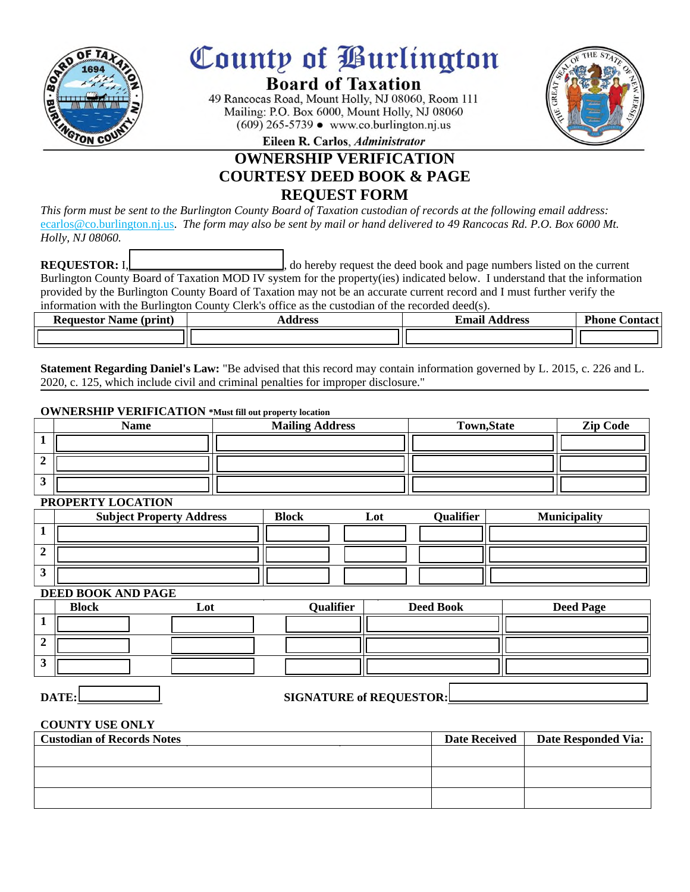

# County of *Purlington*

# **Board of Taxation**

49 Rancocas Road, Mount Holly, NJ 08060, Room 111 Mailing: P.O. Box 6000, Mount Holly, NJ 08060  $(609)$  265-5739 • www.co.burlington.nj.us



Eileen R. Carlos, Administrator

# **OWNERSHIP VERIFICATION COURTESY DEED BOOK & PAGE REQUEST FORM**

*This form must be sent to the Burlington County Board of Taxation custodian of records at the following email address:*  ecarlos@co.burlington.nj.us. *The form may also be sent by mail or hand delivered to 49 Rancocas Rd. P.O. Box 6000 Mt. Holly, NJ 08060.*

**REQUESTOR:** I,  $\begin{bmatrix} 1 & 1 \end{bmatrix}$  , do hereby request the deed book and page numbers listed on the current Burlington County Board of Taxation MOD IV system for the property(ies) indicated below. I understand that the information provided by the Burlington County Board of Taxation may not be an accurate current record and I must further verify the information with the Burlington County Clerk's office as the custodian of the recorded deed(s).

| <b>Requestor Name (print)</b> | Address | <b>Email Address</b> | <b>Phone</b><br>.\ontact |  |
|-------------------------------|---------|----------------------|--------------------------|--|
|                               |         |                      |                          |  |

**Statement Regarding Daniel's Law:** "Be advised that this record may contain information governed by L. 2015, c. 226 and L. 2020, c. 125, which include civil and criminal penalties for improper disclosure."

# **OWNERSHIP VERIFICATION \*Must fill out property location**

| Name | <b>Mailing Address</b> | <b>Town, State</b> | <b>Zip Code</b> |
|------|------------------------|--------------------|-----------------|
|      |                        |                    |                 |
|      |                        |                    |                 |
|      |                        |                    |                 |

#### **PROPERTY LOCATION**

| 1101111111001111011 |                                 |              |     |           |                     |
|---------------------|---------------------------------|--------------|-----|-----------|---------------------|
|                     | <b>Subject Property Address</b> | <b>Block</b> | Lot | Qualifier | <b>Municipality</b> |
|                     |                                 |              |     |           |                     |
|                     |                                 |              |     |           |                     |
|                     |                                 |              |     |           |                     |

### **DEED BOOK AND PAGE**

| <b>Block</b> | Lot | Qualifier | <b>Deed Book</b> | <b>Deed Page</b> |
|--------------|-----|-----------|------------------|------------------|
|              |     |           |                  |                  |
|              |     |           |                  |                  |
|              |     |           |                  |                  |

# **DATE: SIGNATURE of REQUESTOR:**

### **COUNTY USE ONLY**

| <b>Custodian of Records Notes</b> | Date Received | <b>Date Responded Via:</b> |
|-----------------------------------|---------------|----------------------------|
|                                   |               |                            |
|                                   |               |                            |
|                                   |               |                            |
|                                   |               |                            |
|                                   |               |                            |